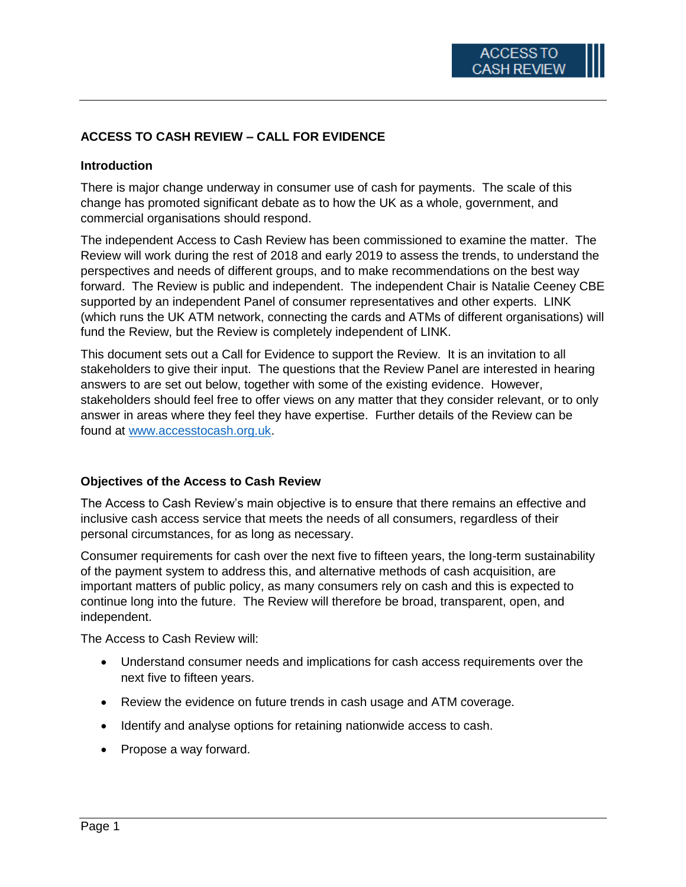# **ACCESS TO CASH REVIEW – CALL FOR EVIDENCE**

#### **Introduction**

There is major change underway in consumer use of cash for payments. The scale of this change has promoted significant debate as to how the UK as a whole, government, and commercial organisations should respond.

The independent Access to Cash Review has been commissioned to examine the matter. The Review will work during the rest of 2018 and early 2019 to assess the trends, to understand the perspectives and needs of different groups, and to make recommendations on the best way forward. The Review is public and independent. The independent Chair is Natalie Ceeney CBE supported by an independent Panel of consumer representatives and other experts. LINK (which runs the UK ATM network, connecting the cards and ATMs of different organisations) will fund the Review, but the Review is completely independent of LINK.

This document sets out a Call for Evidence to support the Review. It is an invitation to all stakeholders to give their input. The questions that the Review Panel are interested in hearing answers to are set out below, together with some of the existing evidence. However, stakeholders should feel free to offer views on any matter that they consider relevant, or to only answer in areas where they feel they have expertise. Further details of the Review can be found at [www.accesstocash.org.uk.](http://www.accesstocash.org.uk/)

#### **Objectives of the Access to Cash Review**

The Access to Cash Review's main objective is to ensure that there remains an effective and inclusive cash access service that meets the needs of all consumers, regardless of their personal circumstances, for as long as necessary.

Consumer requirements for cash over the next five to fifteen years, the long-term sustainability of the payment system to address this, and alternative methods of cash acquisition, are important matters of public policy, as many consumers rely on cash and this is expected to continue long into the future. The Review will therefore be broad, transparent, open, and independent.

The Access to Cash Review will:

- Understand consumer needs and implications for cash access requirements over the next five to fifteen years.
- Review the evidence on future trends in cash usage and ATM coverage.
- Identify and analyse options for retaining nationwide access to cash.
- Propose a way forward.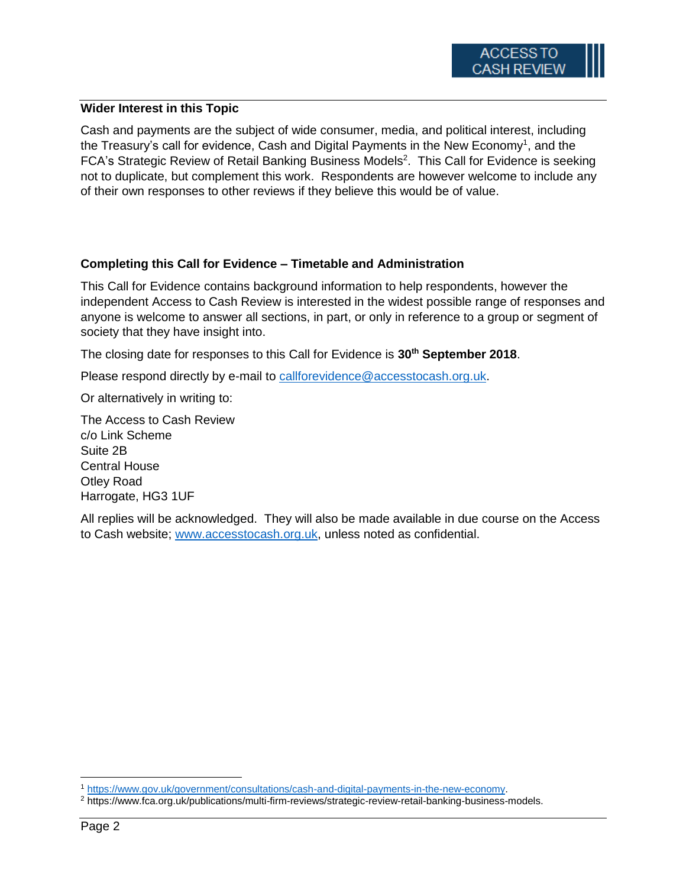## **Wider Interest in this Topic**

Cash and payments are the subject of wide consumer, media, and political interest, including the Treasury's call for evidence, Cash and Digital Payments in the New Economy<sup>1</sup>, and the FCA's Strategic Review of Retail Banking Business Models<sup>2</sup>. This Call for Evidence is seeking not to duplicate, but complement this work. Respondents are however welcome to include any of their own responses to other reviews if they believe this would be of value.

# **Completing this Call for Evidence – Timetable and Administration**

This Call for Evidence contains background information to help respondents, however the independent Access to Cash Review is interested in the widest possible range of responses and anyone is welcome to answer all sections, in part, or only in reference to a group or segment of society that they have insight into.

The closing date for responses to this Call for Evidence is **30th September 2018**.

Please respond directly by e-mail to [callforevidence@accesstocash.org.uk.](mailto:callforevidence@accesstocash.org.uk)

Or alternatively in writing to:

The Access to Cash Review c/o Link Scheme Suite 2B Central House Otley Road Harrogate, HG3 1UF

All replies will be acknowledged. They will also be made available in due course on the Access to Cash website; [www.accesstocash.org.uk,](http://www.accesstocash.org.uk/) unless noted as confidential.

 $\overline{\phantom{a}}$ <sup>1</sup> [https://www.gov.uk/government/consultations/cash-and-digital-payments-in-the-new-economy.](https://www.gov.uk/government/consultations/cash-and-digital-payments-in-the-new-economy)

<sup>2</sup> https://www.fca.org.uk/publications/multi-firm-reviews/strategic-review-retail-banking-business-models.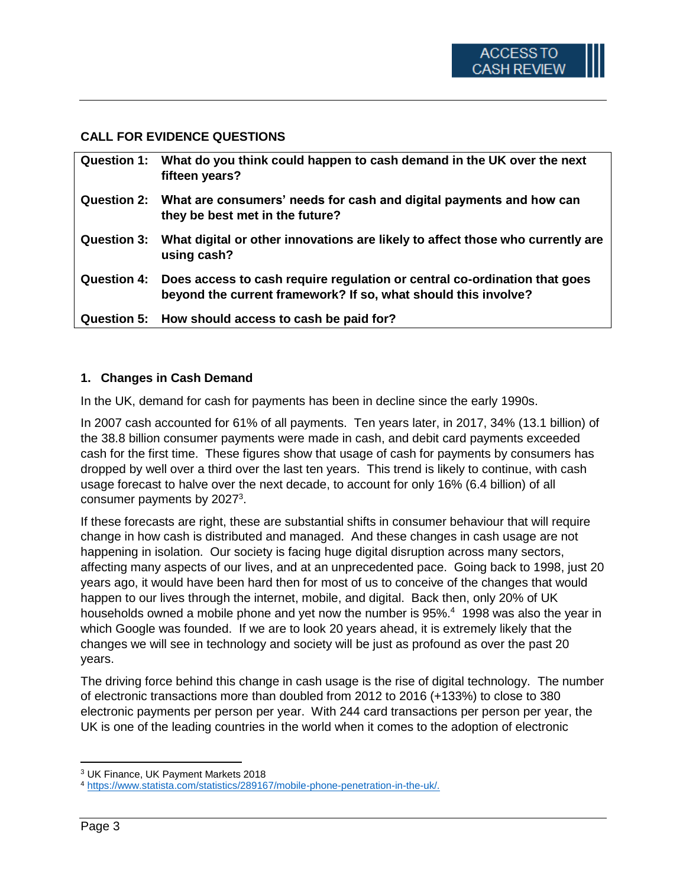### **CALL FOR EVIDENCE QUESTIONS**

| Question 1: What do you think could happen to cash demand in the UK over the next<br>fifteen years?                                                     |
|---------------------------------------------------------------------------------------------------------------------------------------------------------|
| Question 2: What are consumers' needs for cash and digital payments and how can<br>they be best met in the future?                                      |
| Question 3: What digital or other innovations are likely to affect those who currently are<br>using cash?                                               |
| Question 4: Does access to cash require regulation or central co-ordination that goes<br>beyond the current framework? If so, what should this involve? |
| Question 5: How should access to cash be paid for?                                                                                                      |

#### **1. Changes in Cash Demand**

In the UK, demand for cash for payments has been in decline since the early 1990s.

In 2007 cash accounted for 61% of all payments. Ten years later, in 2017, 34% (13.1 billion) of the 38.8 billion consumer payments were made in cash, and debit card payments exceeded cash for the first time. These figures show that usage of cash for payments by consumers has dropped by well over a third over the last ten years. This trend is likely to continue, with cash usage forecast to halve over the next decade, to account for only 16% (6.4 billion) of all consumer payments by 2027<sup>3</sup>.

If these forecasts are right, these are substantial shifts in consumer behaviour that will require change in how cash is distributed and managed. And these changes in cash usage are not happening in isolation. Our society is facing huge digital disruption across many sectors, affecting many aspects of our lives, and at an unprecedented pace. Going back to 1998, just 20 years ago, it would have been hard then for most of us to conceive of the changes that would happen to our lives through the internet, mobile, and digital. Back then, only 20% of UK households owned a mobile phone and yet now the number is 95%.<sup>4</sup> 1998 was also the year in which Google was founded. If we are to look 20 years ahead, it is extremely likely that the changes we will see in technology and society will be just as profound as over the past 20 years.

The driving force behind this change in cash usage is the rise of digital technology. The number of electronic transactions more than doubled from 2012 to 2016 (+133%) to close to 380 electronic payments per person per year. With 244 card transactions per person per year, the UK is one of the leading countries in the world when it comes to the adoption of electronic

<sup>3</sup> UK Finance, UK Payment Markets 2018

<sup>4</sup> [https://www.statista.com/statistics/289167/mobile-phone-penetration-in-the-uk/.](https://www.statista.com/statistics/289167/mobile-phone-penetration-in-the-uk/)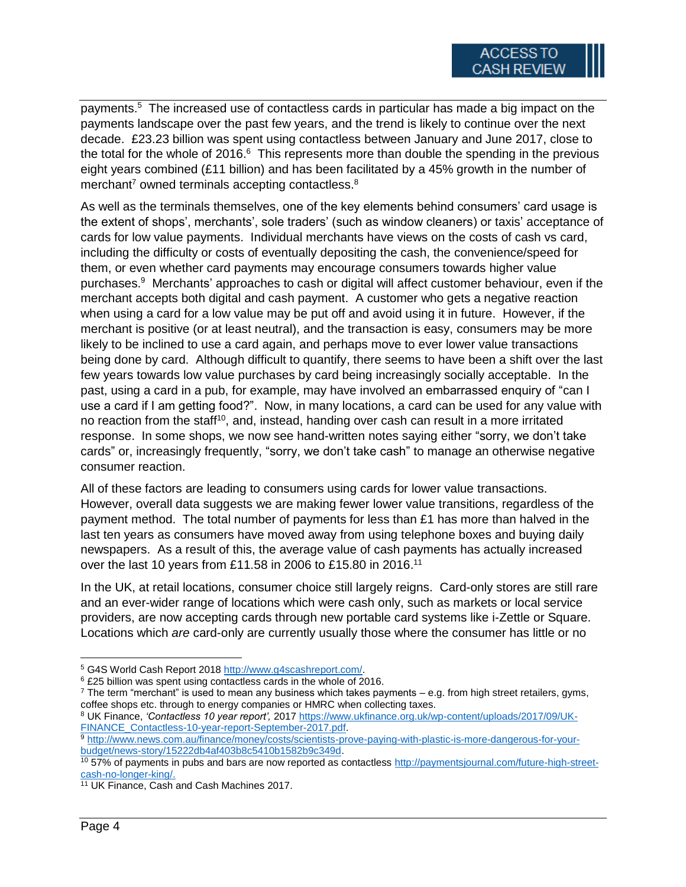payments. 5 The increased use of contactless cards in particular has made a big impact on the payments landscape over the past few years, and the trend is likely to continue over the next decade. £23.23 billion was spent using contactless between January and June 2017, close to the total for the whole of 2016.<sup>6</sup> This represents more than double the spending in the previous eight years combined (£11 billion) and has been facilitated by a 45% growth in the number of merchant<sup>7</sup> owned terminals accepting contactless. $8<sup>8</sup>$ 

As well as the terminals themselves, one of the key elements behind consumers' card usage is the extent of shops', merchants', sole traders' (such as window cleaners) or taxis' acceptance of cards for low value payments. Individual merchants have views on the costs of cash vs card, including the difficulty or costs of eventually depositing the cash, the convenience/speed for them, or even whether card payments may encourage consumers towards higher value purchases.<sup>9</sup> Merchants' approaches to cash or digital will affect customer behaviour, even if the merchant accepts both digital and cash payment. A customer who gets a negative reaction when using a card for a low value may be put off and avoid using it in future. However, if the merchant is positive (or at least neutral), and the transaction is easy, consumers may be more likely to be inclined to use a card again, and perhaps move to ever lower value transactions being done by card. Although difficult to quantify, there seems to have been a shift over the last few years towards low value purchases by card being increasingly socially acceptable. In the past, using a card in a pub, for example, may have involved an embarrassed enquiry of "can I use a card if I am getting food?". Now, in many locations, a card can be used for any value with no reaction from the staff<sup>10</sup>, and, instead, handing over cash can result in a more irritated response. In some shops, we now see hand-written notes saying either "sorry, we don't take cards" or, increasingly frequently, "sorry, we don't take cash" to manage an otherwise negative consumer reaction.

All of these factors are leading to consumers using cards for lower value transactions. However, overall data suggests we are making fewer lower value transitions, regardless of the payment method. The total number of payments for less than  $£1$  has more than halved in the last ten years as consumers have moved away from using telephone boxes and buying daily newspapers. As a result of this, the average value of cash payments has actually increased over the last 10 years from £11.58 in 2006 to £15.80 in 2016.<sup>11</sup>

In the UK, at retail locations, consumer choice still largely reigns. Card-only stores are still rare and an ever-wider range of locations which were cash only, such as markets or local service providers, are now accepting cards through new portable card systems like i-Zettle or Square. Locations which *are* card-only are currently usually those where the consumer has little or no

<sup>8</sup> UK Finance, *'Contactless 10 year report',* 2017 [https://www.ukfinance.org.uk/wp-content/uploads/2017/09/UK-](https://www.ukfinance.org.uk/wp-content/uploads/2017/09/UK-FINANCE_Contactless-10-year-report-September-2017.pdf)[FINANCE\\_Contactless-10-year-report-September-2017.pdf.](https://www.ukfinance.org.uk/wp-content/uploads/2017/09/UK-FINANCE_Contactless-10-year-report-September-2017.pdf)

 $\overline{a}$ 

<sup>&</sup>lt;sup>5</sup> G4S World Cash Report 2018 [http://www.g4scashreport.com/.](http://www.g4scashreport.com/)

<sup>6</sup> £25 billion was spent using contactless cards in the whole of 2016.

 $^7$  The term "merchant" is used to mean any business which takes payments – e.g. from high street retailers, gyms, coffee shops etc. through to energy companies or HMRC when collecting taxes.

<sup>9</sup> [http://www.news.com.au/finance/money/costs/scientists-prove-paying-with-plastic-is-more-dangerous-for-your](http://www.news.com.au/finance/money/costs/scientists-prove-paying-with-plastic-is-more-dangerous-for-your-budget/news-story/15222db4af403b8c5410b1582b9c349d)[budget/news-story/15222db4af403b8c5410b1582b9c349d.](http://www.news.com.au/finance/money/costs/scientists-prove-paying-with-plastic-is-more-dangerous-for-your-budget/news-story/15222db4af403b8c5410b1582b9c349d)

<sup>&</sup>lt;sup>10</sup> 57% of payments in pubs and bars are now reported as contactless [http://paymentsjournal.com/future-high-street](http://paymentsjournal.com/future-high-street-cash-no-longer-king/)[cash-no-longer-king/.](http://paymentsjournal.com/future-high-street-cash-no-longer-king/)

<sup>11</sup> UK Finance, Cash and Cash Machines 2017.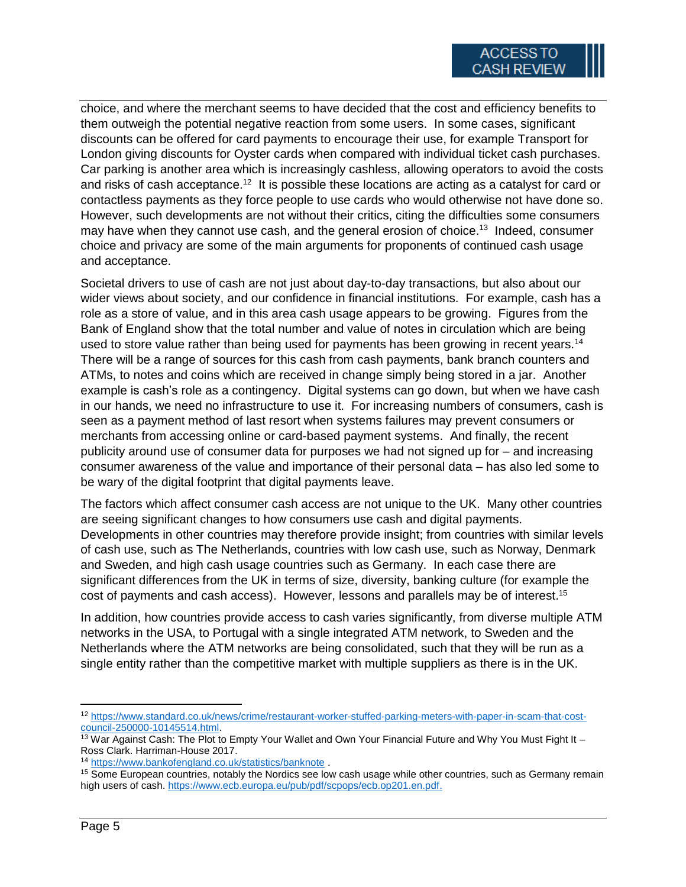choice, and where the merchant seems to have decided that the cost and efficiency benefits to them outweigh the potential negative reaction from some users. In some cases, significant discounts can be offered for card payments to encourage their use, for example Transport for London giving discounts for Oyster cards when compared with individual ticket cash purchases. Car parking is another area which is increasingly cashless, allowing operators to avoid the costs and risks of cash acceptance.<sup>12</sup> It is possible these locations are acting as a catalyst for card or contactless payments as they force people to use cards who would otherwise not have done so. However, such developments are not without their critics, citing the difficulties some consumers may have when they cannot use cash, and the general erosion of choice.<sup>13</sup> Indeed, consumer choice and privacy are some of the main arguments for proponents of continued cash usage and acceptance.

Societal drivers to use of cash are not just about day-to-day transactions, but also about our wider views about society, and our confidence in financial institutions. For example, cash has a role as a store of value, and in this area cash usage appears to be growing. Figures from the Bank of England show that the total number and value of notes in circulation which are being used to store value rather than being used for payments has been growing in recent years.<sup>14</sup> There will be a range of sources for this cash from cash payments, bank branch counters and ATMs, to notes and coins which are received in change simply being stored in a jar. Another example is cash's role as a contingency. Digital systems can go down, but when we have cash in our hands, we need no infrastructure to use it. For increasing numbers of consumers, cash is seen as a payment method of last resort when systems failures may prevent consumers or merchants from accessing online or card-based payment systems. And finally, the recent publicity around use of consumer data for purposes we had not signed up for – and increasing consumer awareness of the value and importance of their personal data – has also led some to be wary of the digital footprint that digital payments leave.

The factors which affect consumer cash access are not unique to the UK. Many other countries are seeing significant changes to how consumers use cash and digital payments. Developments in other countries may therefore provide insight; from countries with similar levels of cash use, such as The Netherlands, countries with low cash use, such as Norway, Denmark and Sweden, and high cash usage countries such as Germany. In each case there are significant differences from the UK in terms of size, diversity, banking culture (for example the cost of payments and cash access). However, lessons and parallels may be of interest.<sup>15</sup>

In addition, how countries provide access to cash varies significantly, from diverse multiple ATM networks in the USA, to Portugal with a single integrated ATM network, to Sweden and the Netherlands where the ATM networks are being consolidated, such that they will be run as a single entity rather than the competitive market with multiple suppliers as there is in the UK.

<sup>12</sup> [https://www.standard.co.uk/news/crime/restaurant-worker-stuffed-parking-meters-with-paper-in-scam-that-cost](https://www.standard.co.uk/news/crime/restaurant-worker-stuffed-parking-meters-with-paper-in-scam-that-cost-council-250000-10145514.html)[council-250000-10145514.html.](https://www.standard.co.uk/news/crime/restaurant-worker-stuffed-parking-meters-with-paper-in-scam-that-cost-council-250000-10145514.html)

<sup>&</sup>lt;sup>13</sup> War Against Cash: The Plot to Empty Your Wallet and Own Your Financial Future and Why You Must Fight It – Ross Clark. Harriman-House 2017.

<sup>14</sup> <https://www.bankofengland.co.uk/statistics/banknote> .

<sup>&</sup>lt;sup>15</sup> Some European countries, notably the Nordics see low cash usage while other countries, such as Germany remain high users of cash. [https://www.ecb.europa.eu/pub/pdf/scpops/ecb.op201.en.pdf.](https://www.ecb.europa.eu/pub/pdf/scpops/ecb.op201.en.pdf)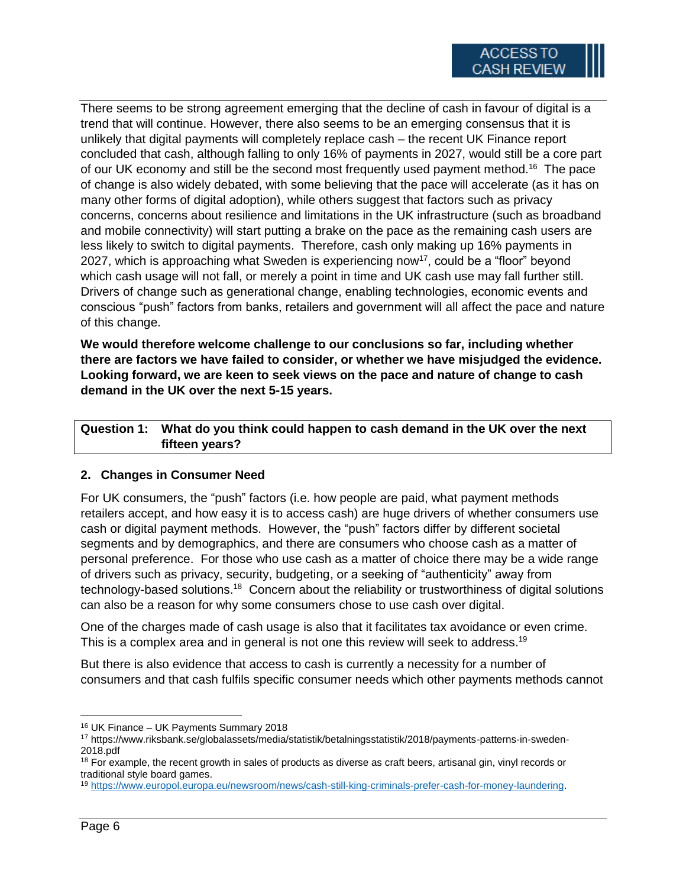There seems to be strong agreement emerging that the decline of cash in favour of digital is a trend that will continue. However, there also seems to be an emerging consensus that it is unlikely that digital payments will completely replace cash – the recent UK Finance report concluded that cash, although falling to only 16% of payments in 2027, would still be a core part of our UK economy and still be the second most frequently used payment method.<sup>16</sup> The pace of change is also widely debated, with some believing that the pace will accelerate (as it has on many other forms of digital adoption), while others suggest that factors such as privacy concerns, concerns about resilience and limitations in the UK infrastructure (such as broadband and mobile connectivity) will start putting a brake on the pace as the remaining cash users are less likely to switch to digital payments. Therefore, cash only making up 16% payments in 2027, which is approaching what Sweden is experiencing now<sup>17</sup>, could be a "floor" beyond which cash usage will not fall, or merely a point in time and UK cash use may fall further still. Drivers of change such as generational change, enabling technologies, economic events and conscious "push" factors from banks, retailers and government will all affect the pace and nature of this change.

**We would therefore welcome challenge to our conclusions so far, including whether there are factors we have failed to consider, or whether we have misjudged the evidence. Looking forward, we are keen to seek views on the pace and nature of change to cash demand in the UK over the next 5-15 years.**

**Question 1: What do you think could happen to cash demand in the UK over the next fifteen years?**

# **2. Changes in Consumer Need**

For UK consumers, the "push" factors (i.e. how people are paid, what payment methods retailers accept, and how easy it is to access cash) are huge drivers of whether consumers use cash or digital payment methods. However, the "push" factors differ by different societal segments and by demographics, and there are consumers who choose cash as a matter of personal preference. For those who use cash as a matter of choice there may be a wide range of drivers such as privacy, security, budgeting, or a seeking of "authenticity" away from technology-based solutions.<sup>18</sup> Concern about the reliability or trustworthiness of digital solutions can also be a reason for why some consumers chose to use cash over digital.

One of the charges made of cash usage is also that it facilitates tax avoidance or even crime. This is a complex area and in general is not one this review will seek to address.<sup>19</sup>

But there is also evidence that access to cash is currently a necessity for a number of consumers and that cash fulfils specific consumer needs which other payments methods cannot

l <sup>16</sup> UK Finance – UK Payments Summary 2018

<sup>17</sup> https://www.riksbank.se/globalassets/media/statistik/betalningsstatistik/2018/payments-patterns-in-sweden-2018.pdf

<sup>&</sup>lt;sup>18</sup> For example, the recent growth in sales of products as diverse as craft beers, artisanal gin, vinyl records or traditional style board games.

<sup>19</sup> [https://www.europol.europa.eu/newsroom/news/cash-still-king-criminals-prefer-cash-for-money-laundering.](https://www.europol.europa.eu/newsroom/news/cash-still-king-criminals-prefer-cash-for-money-laundering)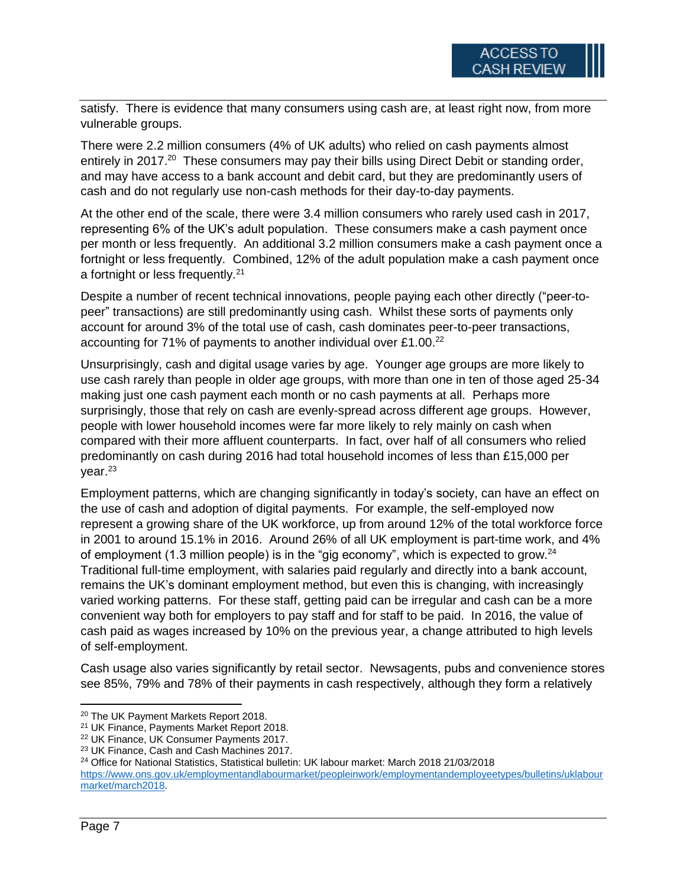satisfy. There is evidence that many consumers using cash are, at least right now, from more vulnerable groups.

There were 2.2 million consumers (4% of UK adults) who relied on cash payments almost entirely in 2017.<sup>20</sup> These consumers may pay their bills using Direct Debit or standing order, and may have access to a bank account and debit card, but they are predominantly users of cash and do not regularly use non-cash methods for their day-to-day payments.

At the other end of the scale, there were 3.4 million consumers who rarely used cash in 2017, representing 6% of the UK's adult population. These consumers make a cash payment once per month or less frequently. An additional 3.2 million consumers make a cash payment once a fortnight or less frequently. Combined, 12% of the adult population make a cash payment once a fortnight or less frequently.<sup>21</sup>

Despite a number of recent technical innovations, people paying each other directly ("peer-topeer" transactions) are still predominantly using cash. Whilst these sorts of payments only account for around 3% of the total use of cash, cash dominates peer-to-peer transactions, accounting for 71% of payments to another individual over £1.00.<sup>22</sup>

Unsurprisingly, cash and digital usage varies by age. Younger age groups are more likely to use cash rarely than people in older age groups, with more than one in ten of those aged 25-34 making just one cash payment each month or no cash payments at all. Perhaps more surprisingly, those that rely on cash are evenly-spread across different age groups. However, people with lower household incomes were far more likely to rely mainly on cash when compared with their more affluent counterparts. In fact, over half of all consumers who relied predominantly on cash during 2016 had total household incomes of less than £15,000 per  $vear.<sup>23</sup>$ 

Employment patterns, which are changing significantly in today's society, can have an effect on the use of cash and adoption of digital payments. For example, the self-employed now represent a growing share of the UK workforce, up from around 12% of the total workforce force in 2001 to around 15.1% in 2016. Around 26% of all UK employment is part-time work, and 4% of employment (1.3 million people) is in the "gig economy", which is expected to grow.<sup>24</sup> Traditional full-time employment, with salaries paid regularly and directly into a bank account, remains the UK's dominant employment method, but even this is changing, with increasingly varied working patterns. For these staff, getting paid can be irregular and cash can be a more convenient way both for employers to pay staff and for staff to be paid. In 2016, the value of cash paid as wages increased by 10% on the previous year, a change attributed to high levels of self-employment.

Cash usage also varies significantly by retail sector. Newsagents, pubs and convenience stores see 85%, 79% and 78% of their payments in cash respectively, although they form a relatively

<sup>20</sup> The UK Payment Markets Report 2018.

<sup>21</sup> UK Finance, Payments Market Report 2018.

<sup>22</sup> UK Finance, UK Consumer Payments 2017.

<sup>23</sup> UK Finance, Cash and Cash Machines 2017.

<sup>24</sup> Office for National Statistics, Statistical bulletin: UK labour market: March 2018 21/03/2018

[https://www.ons.gov.uk/employmentandlabourmarket/peopleinwork/employmentandemployeetypes/bulletins/uklabour](https://www.ons.gov.uk/employmentandlabourmarket/peopleinwork/employmentandemployeetypes/bulletins/uklabourmarket/march2018) [market/march2018.](https://www.ons.gov.uk/employmentandlabourmarket/peopleinwork/employmentandemployeetypes/bulletins/uklabourmarket/march2018)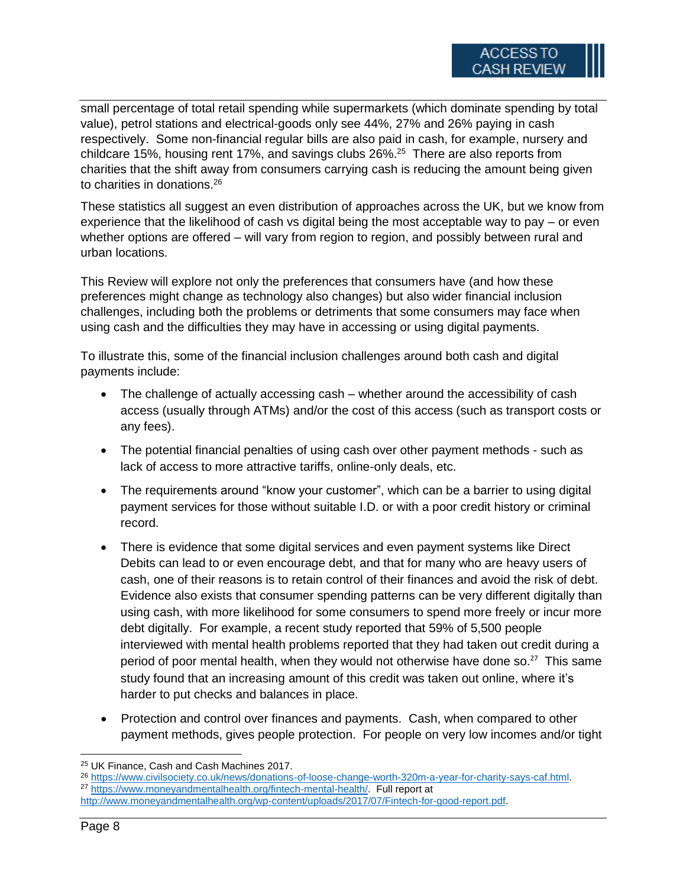small percentage of total retail spending while supermarkets (which dominate spending by total value), petrol stations and electrical-goods only see 44%, 27% and 26% paying in cash respectively. Some non-financial regular bills are also paid in cash, for example, nursery and childcare 15%, housing rent 17%, and savings clubs 26%. 25 There are also reports from charities that the shift away from consumers carrying cash is reducing the amount being given to charities in donations. 26

These statistics all suggest an even distribution of approaches across the UK, but we know from experience that the likelihood of cash vs digital being the most acceptable way to pay – or even whether options are offered – will vary from region to region, and possibly between rural and urban locations.

This Review will explore not only the preferences that consumers have (and how these preferences might change as technology also changes) but also wider financial inclusion challenges, including both the problems or detriments that some consumers may face when using cash and the difficulties they may have in accessing or using digital payments.

To illustrate this, some of the financial inclusion challenges around both cash and digital payments include:

- The challenge of actually accessing cash whether around the accessibility of cash access (usually through ATMs) and/or the cost of this access (such as transport costs or any fees).
- The potential financial penalties of using cash over other payment methods such as lack of access to more attractive tariffs, online-only deals, etc.
- The requirements around "know your customer", which can be a barrier to using digital payment services for those without suitable I.D. or with a poor credit history or criminal record.
- There is evidence that some digital services and even payment systems like Direct Debits can lead to or even encourage debt, and that for many who are heavy users of cash, one of their reasons is to retain control of their finances and avoid the risk of debt. Evidence also exists that consumer spending patterns can be very different digitally than using cash, with more likelihood for some consumers to spend more freely or incur more debt digitally. For example, a recent study reported that [59% of 5,500 people](http://www.moneyandmentalhealth.org/wp-content/uploads/2016/06/Money-on-your-mind-exec-summary.pdf)  [interviewed with mental health problems reported that they had taken out credit during a](http://www.moneyandmentalhealth.org/wp-content/uploads/2016/06/Money-on-your-mind-exec-summary.pdf)  [period of poor mental health, when they would not otherwise have done so.](http://www.moneyandmentalhealth.org/wp-content/uploads/2016/06/Money-on-your-mind-exec-summary.pdf)<sup>27</sup> This same study found that an increasing amount of this credit was taken out online, where it's harder to put checks and balances in place.
- Protection and control over finances and payments. Cash, when compared to other payment methods, gives people protection. For people on very low incomes and/or tight

<sup>27</sup> [https://www.moneyandmentalhealth.org/fintech-mental-health/.](https://www.moneyandmentalhealth.org/fintech-mental-health/) Full report at

 $\overline{a}$ <sup>25</sup> UK Finance, Cash and Cash Machines 2017.

<sup>26</sup> [https://www.civilsociety.co.uk/news/donations-of-loose-change-worth-320m-a-year-for-charity-says-caf.html.](https://www.civilsociety.co.uk/news/donations-of-loose-change-worth-320m-a-year-for-charity-says-caf.html)

[http://www.moneyandmentalhealth.org/wp-content/uploads/2017/07/Fintech-for-good-report.pdf.](http://www.moneyandmentalhealth.org/wp-content/uploads/2017/07/Fintech-for-good-report.pdf)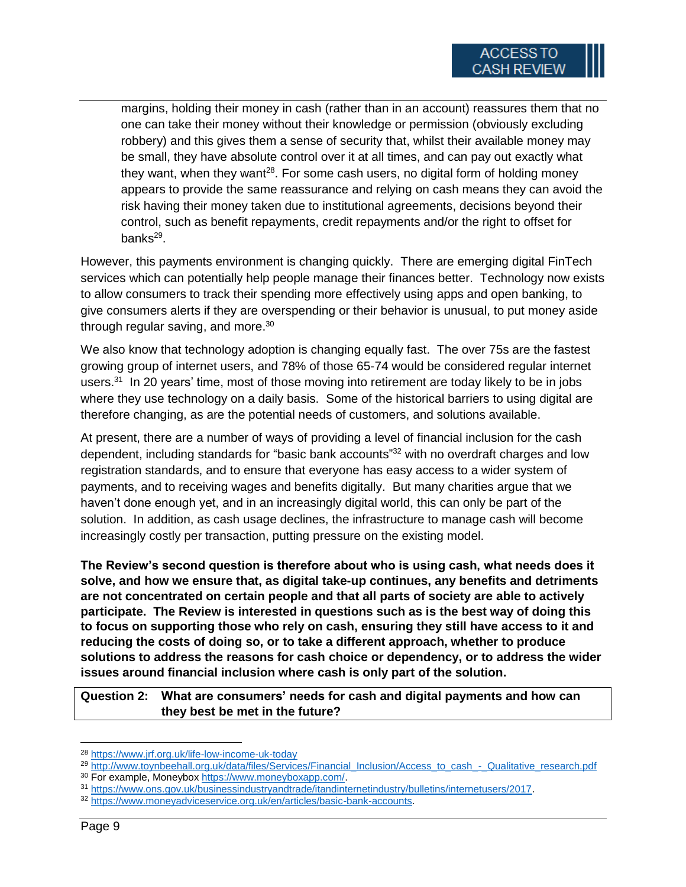margins, holding their money in cash (rather than in an account) reassures them that no one can take their money without their knowledge or permission (obviously excluding robbery) and this gives them a sense of security that, whilst their available money may be small, they have absolute control over it at all times, and can pay out exactly what they want, when they want<sup>28</sup>. For some cash users, no digital form of holding money appears to provide the same reassurance and relying on cash means they can avoid the risk having their money taken due to institutional agreements, decisions beyond their control, such as benefit repayments, credit repayments and/or the right to offset for banks<sup>29</sup>.

However, this payments environment is changing quickly. There are emerging digital FinTech services which can potentially help people manage their finances better. Technology now exists to allow consumers to track their spending more effectively using apps and open banking, to give consumers alerts if they are overspending or their behavior is unusual, to put money aside through regular saving, and more. $^{\rm 30}$ 

We also know that technology adoption is changing equally fast. The over 75s are the fastest growing group of internet users, and 78% of those 65-74 would be considered regular internet users.<sup>31</sup> In 20 years' time, most of those moving into retirement are today likely to be in jobs where they use technology on a daily basis. Some of the historical barriers to using digital are therefore changing, as are the potential needs of customers, and solutions available.

At present, there are a number of ways of providing a level of financial inclusion for the cash dependent, including standards for "basic bank accounts"<sup>32</sup> with no overdraft charges and low registration standards, and to ensure that everyone has easy access to a wider system of payments, and to receiving wages and benefits digitally. But many charities argue that we haven't done enough yet, and in an increasingly digital world, this can only be part of the solution. In addition, as cash usage declines, the infrastructure to manage cash will become increasingly costly per transaction, putting pressure on the existing model.

**The Review's second question is therefore about who is using cash, what needs does it solve, and how we ensure that, as digital take-up continues, any benefits and detriments are not concentrated on certain people and that all parts of society are able to actively participate. The Review is interested in questions such as is the best way of doing this to focus on supporting those who rely on cash, ensuring they still have access to it and reducing the costs of doing so, or to take a different approach, whether to produce solutions to address the reasons for cash choice or dependency, or to address the wider issues around financial inclusion where cash is only part of the solution.**

**Question 2: What are consumers' needs for cash and digital payments and how can they best be met in the future?**

<sup>28</sup> <https://www.jrf.org.uk/life-low-income-uk-today>

<sup>29</sup> [http://www.toynbeehall.org.uk/data/files/Services/Financial\\_Inclusion/Access\\_to\\_cash\\_-\\_Qualitative\\_research.pdf](http://www.toynbeehall.org.uk/data/files/Services/Financial_Inclusion/Access_to_cash_-_Qualitative_research.pdf)

<sup>&</sup>lt;sup>30</sup> For example, Moneybox [https://www.moneyboxapp.com/.](https://www.moneyboxapp.com/)

<sup>31</sup> [https://www.ons.gov.uk/businessindustryandtrade/itandinternetindustry/bulletins/internetusers/2017.](https://www.ons.gov.uk/businessindustryandtrade/itandinternetindustry/bulletins/internetusers/2017)

<sup>32</sup> [https://www.moneyadviceservice.org.uk/en/articles/basic-bank-accounts.](https://www.moneyadviceservice.org.uk/en/articles/basic-bank-accounts)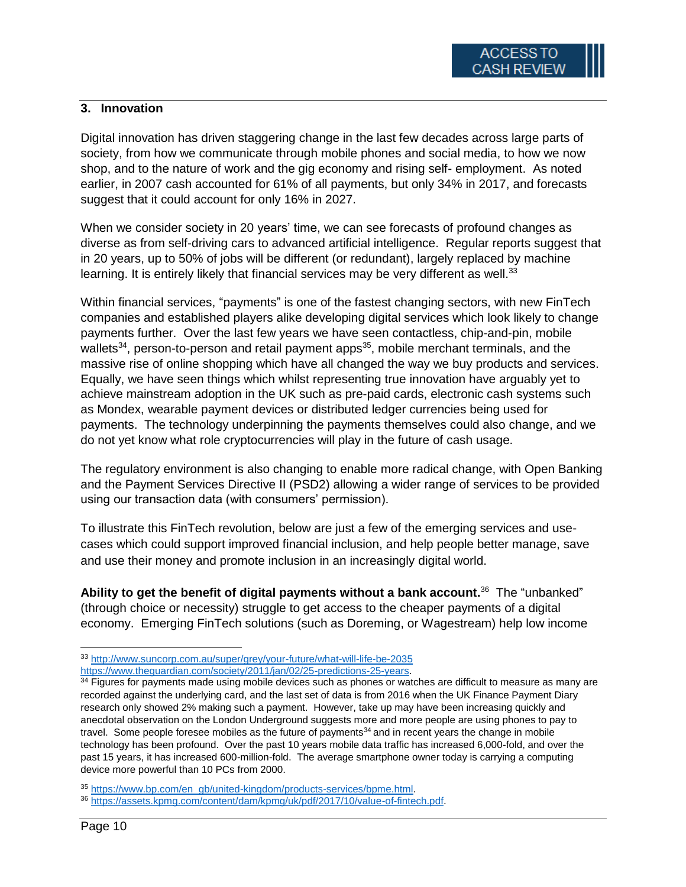# **3. Innovation**

Digital innovation has driven staggering change in the last few decades across large parts of society, from how we communicate through mobile phones and social media, to how we now shop, and to the nature of work and the gig economy and rising self- employment. As noted earlier, in 2007 cash accounted for 61% of all payments, but only 34% in 2017, and forecasts suggest that it could account for only 16% in 2027.

When we consider society in 20 years' time, we can see forecasts of profound changes as diverse as from self-driving cars to advanced artificial intelligence. Regular reports suggest that in 20 years, up to 50% of jobs will be different (or redundant), largely replaced by machine learning. It is entirely likely that financial services may be very different as well.<sup>33</sup>

Within financial services, "payments" is one of the fastest changing sectors, with new FinTech companies and established players alike developing digital services which look likely to change payments further. Over the last few years we have seen contactless, chip-and-pin, mobile wallets<sup>34</sup>, person-to-person and retail payment apps<sup>35</sup>, mobile merchant terminals, and the massive rise of online shopping which have all changed the way we buy products and services. Equally, we have seen things which whilst representing true innovation have arguably yet to achieve mainstream adoption in the UK such as pre-paid cards, electronic cash systems such as Mondex, wearable payment devices or distributed ledger currencies being used for payments. The technology underpinning the payments themselves could also change, and we do not yet know what role cryptocurrencies will play in the future of cash usage.

The regulatory environment is also changing to enable more radical change, with Open Banking and the Payment Services Directive II (PSD2) allowing a wider range of services to be provided using our transaction data (with consumers' permission).

To illustrate this FinTech revolution, below are just a few of the emerging services and usecases which could support improved financial inclusion, and help people better manage, save and use their money and promote inclusion in an increasingly digital world.

Ability to get the benefit of digital payments without a bank account.<sup>36</sup> The "unbanked" (through choice or necessity) struggle to get access to the cheaper payments of a digital economy. Emerging FinTech solutions (such as [Doreming,](http://www.doreming.com/) or [Wagestream\)](https://wagestream.co.uk/) help low income

<sup>33</sup> <http://www.suncorp.com.au/super/grey/your-future/what-will-life-be-2035> [https://www.theguardian.com/society/2011/jan/02/25-predictions-25-years.](https://www.theguardian.com/society/2011/jan/02/25-predictions-25-years)

<sup>&</sup>lt;sup>34</sup> Figures for payments made using mobile devices such as phones or watches are difficult to measure as many are recorded against the underlying card, and the last set of data is from 2016 when the UK Finance Payment Diary research only showed 2% making such a payment. However, take up may have been increasing quickly and anecdotal observation on the London Underground suggests more and more people are using phones to pay to travel. Some people foresee mobiles as the future of payments<sup>34</sup> and in recent years the change in mobile technology has been profound. Over the past 10 years mobile data traffic has increased 6,000-fold, and over the past 15 years, it has increased 600-million-fold. The average smartphone owner today is carrying a computing device more powerful than 10 PCs from 2000.

<sup>35</sup> [https://www.bp.com/en\\_gb/united-kingdom/products-services/bpme.html.](https://www.bp.com/en_gb/united-kingdom/products-services/bpme.html)

<sup>36</sup> [https://assets.kpmg.com/content/dam/kpmg/uk/pdf/2017/10/value-of-fintech.pdf.](https://assets.kpmg.com/content/dam/kpmg/uk/pdf/2017/10/value-of-fintech.pdf)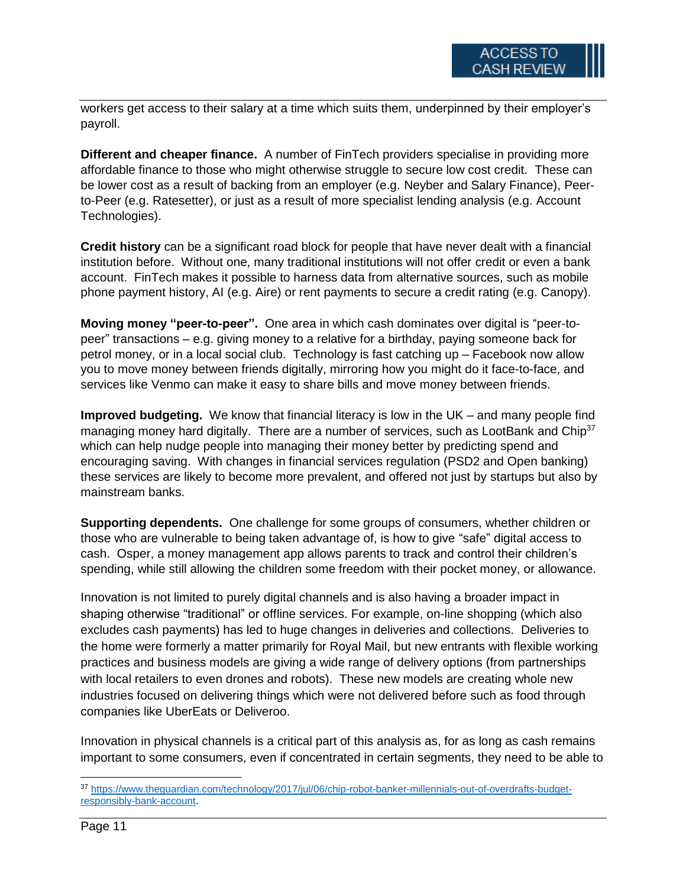workers get access to their salary at a time which suits them, underpinned by their employer's payroll.

**Different and cheaper finance.** A number of FinTech providers specialise in providing more affordable finance to those who might otherwise struggle to secure low cost credit. These can be lower cost as a result of backing from an employer (e.g. [Neyber](https://www.neyber.co.uk/) and [Salary Finance\)](https://www.salaryfinance.com/), Peerto-Peer (e.g. [Ratesetter\)](https://www.ratesetter.com/), or just as a result of more specialist lending analysis (e.g. Account Technologies).

**Credit history** can be a significant road block for people that have never dealt with a financial institution before. Without one, many traditional institutions will not offer credit or even a bank account. FinTech makes it possible to harness data from alternative sources, such as mobile phone payment history, AI (e.g. [Aire\)](https://aire.io/) or rent payments to secure a credit rating (e.g. [Canopy\)](https://www.canopy.rent/).

**Moving money "peer-to-peer".** One area in which cash dominates over digital is "peer-topeer" transactions – e.g. giving money to a relative for a birthday, paying someone back for petrol money, or in a local social club. Technology is fast catching up – Facebook now allow you to move money between friends digitally, mirroring how you might do it face-to-face, and services like [Venmo](https://venmo.com/) can make it easy to share bills and move money between friends.

**Improved budgeting.** We know that financial literacy is low in the UK – and many people find managing money hard digitally. There are a number of services, such as [LootBank](https://loot.io/) and [Chip](https://www.acorns.com/)<sup>37</sup> which can help nudge people into managing their money better by predicting spend and encouraging saving. With changes in financial services regulation (PSD2 and Open banking) these services are likely to become more prevalent, and offered not just by startups but also by mainstream banks.

**Supporting dependents.** One challenge for some groups of consumers, whether children or those who are vulnerable to being taken advantage of, is how to give "safe" digital access to cash. [Osper,](https://osper.com/order) a money management app allows parents to track and control their children's spending, while still allowing the children some freedom with their pocket money, or allowance.

Innovation is not limited to purely digital channels and is also having a broader impact in shaping otherwise "traditional" or offline services. For example, on-line shopping (which also excludes cash payments) has led to huge changes in deliveries and collections. Deliveries to the home were formerly a matter primarily for Royal Mail, but new entrants with flexible working practices and business models are giving a wide range of delivery options (from partnerships with local retailers to even drones and robots). These new models are creating whole new industries focused on delivering things which were not delivered before such as food through companies like UberEats or Deliveroo.

Innovation in physical channels is a critical part of this analysis as, for as long as cash remains important to some consumers, even if concentrated in certain segments, they need to be able to

 $\overline{\phantom{a}}$ <sup>37</sup> [https://www.theguardian.com/technology/2017/jul/06/chip-robot-banker-millennials-out-of-overdrafts-budget](https://www.theguardian.com/technology/2017/jul/06/chip-robot-banker-millennials-out-of-overdrafts-budget-responsibly-bank-account)[responsibly-bank-account.](https://www.theguardian.com/technology/2017/jul/06/chip-robot-banker-millennials-out-of-overdrafts-budget-responsibly-bank-account)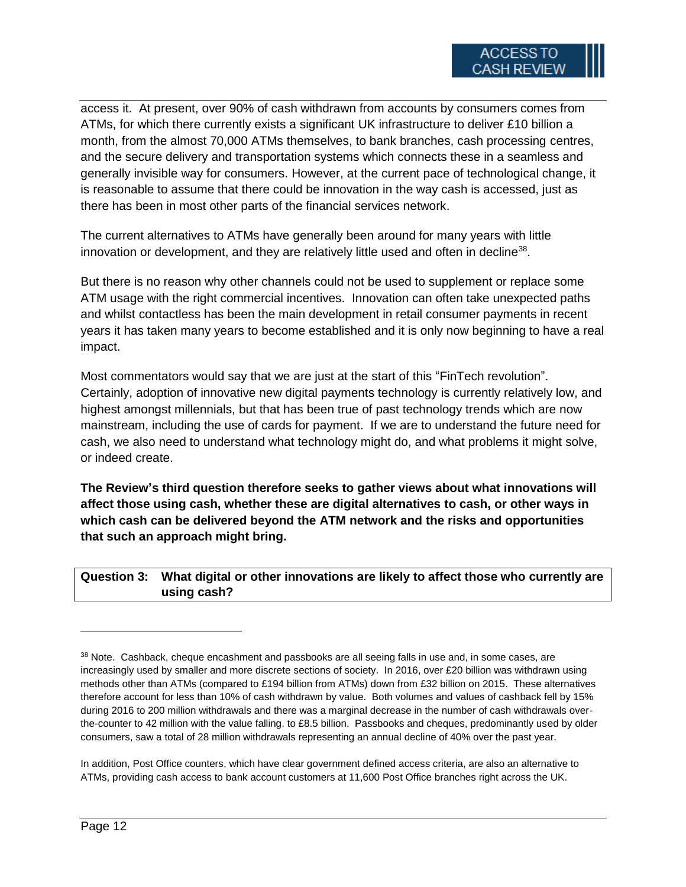access it. At present, over 90% of cash withdrawn from accounts by consumers comes from ATMs, for which there currently exists a significant UK infrastructure to deliver £10 billion a month, from the almost 70,000 ATMs themselves, to bank branches, cash processing centres, and the secure delivery and transportation systems which connects these in a seamless and generally invisible way for consumers. However, at the current pace of technological change, it is reasonable to assume that there could be innovation in the way cash is accessed, just as there has been in most other parts of the financial services network.

The current alternatives to ATMs have generally been around for many years with little innovation or development, and they are relatively little used and often in decline<sup>38</sup>.

But there is no reason why other channels could not be used to supplement or replace some ATM usage with the right commercial incentives. Innovation can often take unexpected paths and whilst contactless has been the main development in retail consumer payments in recent years it has taken many years to become established and it is only now beginning to have a real impact.

Most commentators would say that we are just at the start of this "FinTech revolution". Certainly, adoption of innovative new digital payments technology is currently relatively low, and highest amongst millennials, but that has been true of past technology trends which are now mainstream, including the use of cards for payment. If we are to understand the future need for cash, we also need to understand what technology might do, and what problems it might solve, or indeed create.

**The Review's third question therefore seeks to gather views about what innovations will affect those using cash, whether these are digital alternatives to cash, or other ways in which cash can be delivered beyond the ATM network and the risks and opportunities that such an approach might bring.**

**Question 3: What digital or other innovations are likely to affect those who currently are using cash?**

<sup>&</sup>lt;sup>38</sup> Note. Cashback, cheque encashment and passbooks are all seeing falls in use and, in some cases, are increasingly used by smaller and more discrete sections of society. In 2016, over £20 billion was withdrawn using methods other than ATMs (compared to £194 billion from ATMs) down from £32 billion on 2015. These alternatives therefore account for less than 10% of cash withdrawn by value. Both volumes and values of cashback fell by 15% during 2016 to 200 million withdrawals and there was a marginal decrease in the number of cash withdrawals overthe-counter to 42 million with the value falling. to £8.5 billion. Passbooks and cheques, predominantly used by older consumers, saw a total of 28 million withdrawals representing an annual decline of 40% over the past year.

In addition, Post Office counters, which have clear government defined access criteria, are also an alternative to ATMs, providing cash access to bank account customers at 11,600 Post Office branches right across the UK.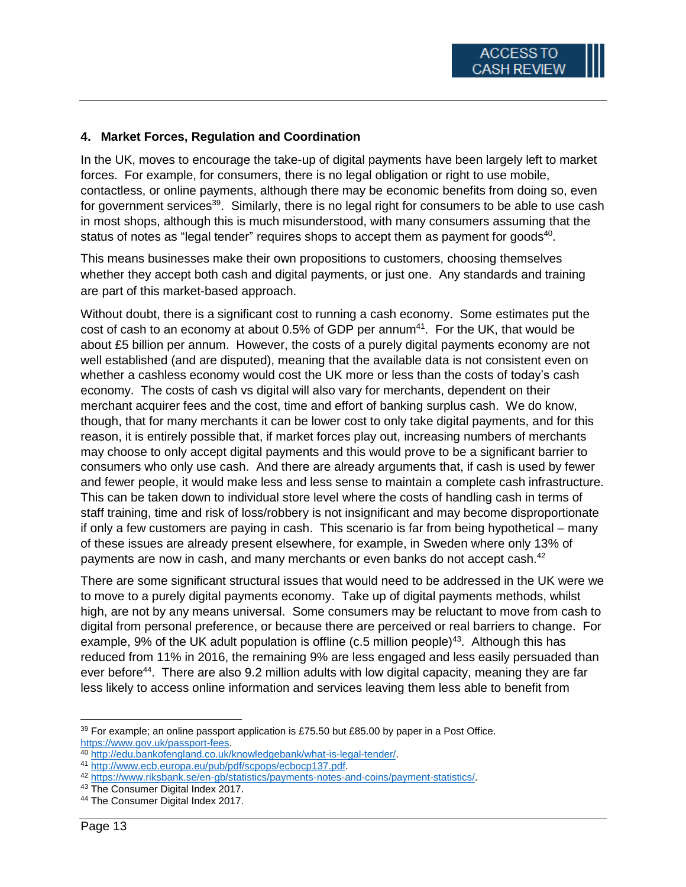## **4. Market Forces, Regulation and Coordination**

In the UK, moves to encourage the take-up of digital payments have been largely left to market forces. For example, for consumers, there is no legal obligation or right to use mobile, contactless, or online payments, although there may be economic benefits from doing so, even for government services<sup>39</sup>. Similarly, there is no legal right for consumers to be able to use cash in most shops, although this is much misunderstood, with many consumers assuming that the status of notes as "legal tender" requires shops to accept them as payment for goods<sup>40</sup>.

This means businesses make their own propositions to customers, choosing themselves whether they accept both cash and digital payments, or just one. Any standards and training are part of this market-based approach.

Without doubt, there is a significant cost to running a cash economy. Some estimates put the cost of cash to an economy at about  $0.5\%$  of GDP per annum<sup>41</sup>. For the UK, that would be about £5 billion per annum. However, the costs of a purely digital payments economy are not well established (and are disputed), meaning that the available data is not consistent even on whether a cashless economy would cost the UK more or less than the costs of today's cash economy. The costs of cash vs digital will also vary for merchants, dependent on their merchant acquirer fees and the cost, time and effort of banking surplus cash. We do know, though, that for many merchants it can be lower cost to only take digital payments, and for this reason, it is entirely possible that, if market forces play out, increasing numbers of merchants may choose to only accept digital payments and this would prove to be a significant barrier to consumers who only use cash. And there are already arguments that, if cash is used by fewer and fewer people, it would make less and less sense to maintain a complete cash infrastructure. This can be taken down to individual store level where the costs of handling cash in terms of staff training, time and risk of loss/robbery is not insignificant and may become disproportionate if only a few customers are paying in cash. This scenario is far from being hypothetical – many of these issues are already present elsewhere, for example, in Sweden where only 13% of payments are now in cash, and many merchants or even banks do not accept cash.<sup>42</sup>

There are some significant structural issues that would need to be addressed in the UK were we to move to a purely digital payments economy. Take up of digital payments methods, whilst high, are not by any means universal. Some consumers may be reluctant to move from cash to digital from personal preference, or because there are perceived or real barriers to change. For example, 9% of the UK adult population is offline (c.5 million people)<sup>43</sup>. Although this has reduced from 11% in 2016, the remaining 9% are less engaged and less easily persuaded than ever before<sup>44</sup>. There are also 9.2 million adults with low digital capacity, meaning they are far less likely to access online information and services leaving them less able to benefit from

l

 $39$  For example; an online passport application is £75.50 but £85.00 by paper in a Post Office. [https://www.gov.uk/passport-fees.](https://www.gov.uk/passport-fees)

<sup>40</sup> [http://edu.bankofengland.co.uk/knowledgebank/what-is-legal-tender/.](http://edu.bankofengland.co.uk/knowledgebank/what-is-legal-tender/)

<sup>41</sup> [http://www.ecb.europa.eu/pub/pdf/scpops/ecbocp137.pdf.](http://www.ecb.europa.eu/pub/pdf/scpops/ecbocp137.pdf)

<sup>42</sup> [https://www.riksbank.se/en-gb/statistics/payments-notes-and-coins/payment-statistics/.](https://www.riksbank.se/en-gb/statistics/payments-notes-and-coins/payment-statistics/)

<sup>43</sup> The Consumer Digital Index 2017.

<sup>&</sup>lt;sup>44</sup> The Consumer Digital Index 2017.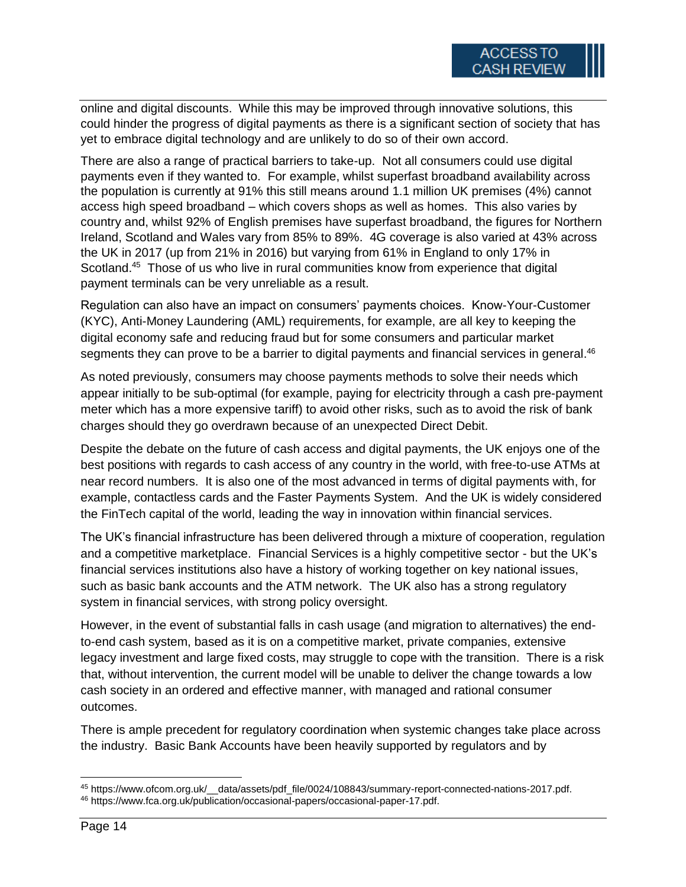online and digital discounts. While this may be improved through innovative solutions, this could hinder the progress of digital payments as there is a significant section of society that has yet to embrace digital technology and are unlikely to do so of their own accord.

There are also a range of practical barriers to take-up. Not all consumers could use digital payments even if they wanted to. For example, whilst superfast broadband availability across the population is currently at 91% this still means around 1.1 million UK premises (4%) cannot access high speed broadband – which covers shops as well as homes. This also varies by country and, whilst 92% of English premises have superfast broadband, the figures for Northern Ireland, Scotland and Wales vary from 85% to 89%. 4G coverage is also varied at 43% across the UK in 2017 (up from 21% in 2016) but varying from 61% in England to only 17% in Scotland.<sup>45</sup> Those of us who live in rural communities know from experience that digital payment terminals can be very unreliable as a result.

Regulation can also have an impact on consumers' payments choices. Know-Your-Customer (KYC), Anti-Money Laundering (AML) requirements, for example, are all key to keeping the digital economy safe and reducing fraud but for some consumers and particular market segments they can prove to be a barrier to digital payments and financial services in general.<sup>46</sup>

As noted previously, consumers may choose payments methods to solve their needs which appear initially to be sub-optimal (for example, paying for electricity through a cash pre-payment meter which has a more expensive tariff) to avoid other risks, such as to avoid the risk of bank charges should they go overdrawn because of an unexpected Direct Debit.

Despite the debate on the future of cash access and digital payments, the UK enjoys one of the best positions with regards to cash access of any country in the world, with free-to-use ATMs at near record numbers. It is also one of the most advanced in terms of digital payments with, for example, contactless cards and the Faster Payments System. And the UK is widely considered the FinTech capital of the world, leading the way in innovation within financial services.

The UK's financial infrastructure has been delivered through a mixture of cooperation, regulation and a competitive marketplace. Financial Services is a highly competitive sector - but the UK's financial services institutions also have a history of working together on key national issues, such as basic bank accounts and the ATM network. The UK also has a strong regulatory system in financial services, with strong policy oversight.

However, in the event of substantial falls in cash usage (and migration to alternatives) the endto-end cash system, based as it is on a competitive market, private companies, extensive legacy investment and large fixed costs, may struggle to cope with the transition. There is a risk that, without intervention, the current model will be unable to deliver the change towards a low cash society in an ordered and effective manner, with managed and rational consumer outcomes.

There is ample precedent for regulatory coordination when systemic changes take place across the industry. Basic Bank Accounts have been heavily supported by regulators and by

 $\overline{\phantom{a}}$ <sup>45</sup> https://www.ofcom.org.uk/\_\_data/assets/pdf\_file/0024/108843/summary-report-connected-nations-2017.pdf. <sup>46</sup> https://www.fca.org.uk/publication/occasional-papers/occasional-paper-17.pdf.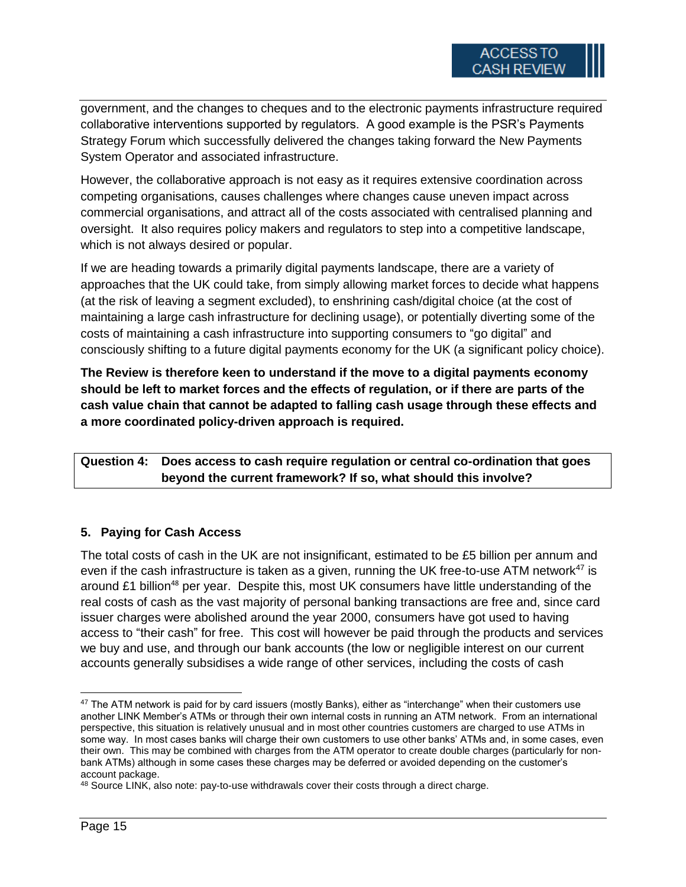government, and the changes to cheques and to the electronic payments infrastructure required collaborative interventions supported by regulators. A good example is the PSR's Payments Strategy Forum which successfully delivered the changes taking forward the New Payments System Operator and associated infrastructure.

However, the collaborative approach is not easy as it requires extensive coordination across competing organisations, causes challenges where changes cause uneven impact across commercial organisations, and attract all of the costs associated with centralised planning and oversight. It also requires policy makers and regulators to step into a competitive landscape, which is not always desired or popular.

If we are heading towards a primarily digital payments landscape, there are a variety of approaches that the UK could take, from simply allowing market forces to decide what happens (at the risk of leaving a segment excluded), to enshrining cash/digital choice (at the cost of maintaining a large cash infrastructure for declining usage), or potentially diverting some of the costs of maintaining a cash infrastructure into supporting consumers to "go digital" and consciously shifting to a future digital payments economy for the UK (a significant policy choice).

**The Review is therefore keen to understand if the move to a digital payments economy should be left to market forces and the effects of regulation, or if there are parts of the cash value chain that cannot be adapted to falling cash usage through these effects and a more coordinated policy-driven approach is required.**

**Question 4: Does access to cash require regulation or central co-ordination that goes beyond the current framework? If so, what should this involve?**

# **5. Paying for Cash Access**

The total costs of cash in the UK are not insignificant, estimated to be £5 billion per annum and even if the cash infrastructure is taken as a given, running the UK free-to-use ATM network<sup>47</sup> is around £1 billion<sup>48</sup> per year. Despite this, most UK consumers have little understanding of the real costs of cash as the vast majority of personal banking transactions are free and, since card issuer charges were abolished around the year 2000, consumers have got used to having access to "their cash" for free. This cost will however be paid through the products and services we buy and use, and through our bank accounts (the low or negligible interest on our current accounts generally subsidises a wide range of other services, including the costs of cash

 $\overline{\phantom{a}}$ <sup>47</sup> The ATM network is paid for by card issuers (mostly Banks), either as "interchange" when their customers use another LINK Member's ATMs or through their own internal costs in running an ATM network. From an international perspective, this situation is relatively unusual and in most other countries customers are charged to use ATMs in some way. In most cases banks will charge their own customers to use other banks' ATMs and, in some cases, even their own. This may be combined with charges from the ATM operator to create double charges (particularly for nonbank ATMs) although in some cases these charges may be deferred or avoided depending on the customer's account package.

<sup>48</sup> Source LINK, also note: pay-to-use withdrawals cover their costs through a direct charge.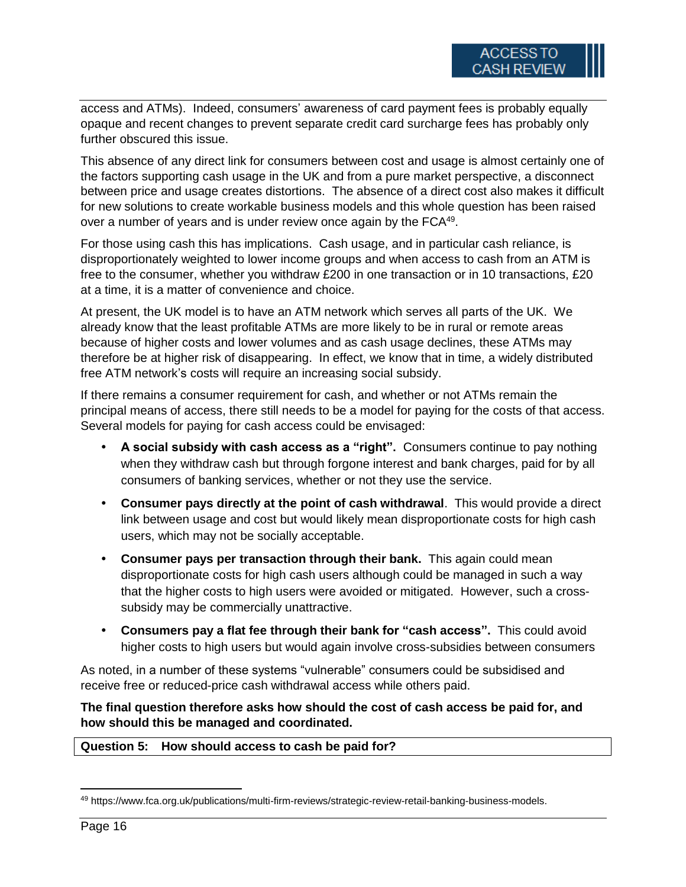access and ATMs). Indeed, consumers' awareness of card payment fees is probably equally opaque and recent changes to prevent separate credit card surcharge fees has probably only further obscured this issue.

This absence of any direct link for consumers between cost and usage is almost certainly one of the factors supporting cash usage in the UK and from a pure market perspective, a disconnect between price and usage creates distortions. The absence of a direct cost also makes it difficult for new solutions to create workable business models and this whole question has been raised over a number of years and is under review once again by the FCA<sup>49</sup>.

For those using cash this has implications. Cash usage, and in particular cash reliance, is disproportionately weighted to lower income groups and when access to cash from an ATM is free to the consumer, whether you withdraw £200 in one transaction or in 10 transactions, £20 at a time, it is a matter of convenience and choice.

At present, the UK model is to have an ATM network which serves all parts of the UK. We already know that the least profitable ATMs are more likely to be in rural or remote areas because of higher costs and lower volumes and as cash usage declines, these ATMs may therefore be at higher risk of disappearing. In effect, we know that in time, a widely distributed free ATM network's costs will require an increasing social subsidy.

If there remains a consumer requirement for cash, and whether or not ATMs remain the principal means of access, there still needs to be a model for paying for the costs of that access. Several models for paying for cash access could be envisaged:

- **A social subsidy with cash access as a "right".** Consumers continue to pay nothing when they withdraw cash but through forgone interest and bank charges, paid for by all consumers of banking services, whether or not they use the service.
- **Consumer pays directly at the point of cash withdrawal**. This would provide a direct link between usage and cost but would likely mean disproportionate costs for high cash users, which may not be socially acceptable.
- **Consumer pays per transaction through their bank.** This again could mean disproportionate costs for high cash users although could be managed in such a way that the higher costs to high users were avoided or mitigated. However, such a crosssubsidy may be commercially unattractive.
- **Consumers pay a flat fee through their bank for "cash access".** This could avoid higher costs to high users but would again involve cross-subsidies between consumers

As noted, in a number of these systems "vulnerable" consumers could be subsidised and receive free or reduced-price cash withdrawal access while others paid.

**The final question therefore asks how should the cost of cash access be paid for, and how should this be managed and coordinated.**

### **Question 5: How should access to cash be paid for?**

 $\overline{a}$ 

<sup>49</sup> https://www.fca.org.uk/publications/multi-firm-reviews/strategic-review-retail-banking-business-models.